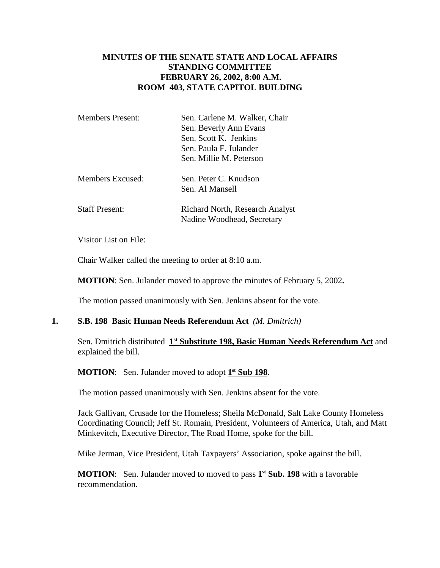# **MINUTES OF THE SENATE STATE AND LOCAL AFFAIRS STANDING COMMITTEE FEBRUARY 26, 2002, 8:00 A.M. ROOM 403, STATE CAPITOL BUILDING**

| <b>Members Present:</b> | Sen. Carlene M. Walker, Chair<br>Sen. Beverly Ann Evans<br>Sen. Scott K. Jenkins<br>Sen. Paula F. Julander<br>Sen. Millie M. Peterson |
|-------------------------|---------------------------------------------------------------------------------------------------------------------------------------|
| Members Excused:        | Sen. Peter C. Knudson<br>Sen. Al Mansell                                                                                              |
| <b>Staff Present:</b>   | Richard North, Research Analyst<br>Nadine Woodhead, Secretary                                                                         |

Visitor List on File:

Chair Walker called the meeting to order at 8:10 a.m.

**MOTION**: Sen. Julander moved to approve the minutes of February 5, 2002**.**

The motion passed unanimously with Sen. Jenkins absent for the vote.

#### **1. S.B. 198 Basic Human Needs Referendum Act** *(M. Dmitrich)*

Sen. Dmitrich distributed **1st Substitute 198, Basic Human Needs Referendum Act** and explained the bill.

**MOTION:** Sen. Julander moved to adopt  $1^{\text{st}}$  **Sub 198**.

The motion passed unanimously with Sen. Jenkins absent for the vote.

Jack Gallivan, Crusade for the Homeless; Sheila McDonald, Salt Lake County Homeless Coordinating Council; Jeff St. Romain, President, Volunteers of America, Utah, and Matt Minkevitch, Executive Director, The Road Home, spoke for the bill.

Mike Jerman, Vice President, Utah Taxpayers' Association, spoke against the bill.

**MOTION**: Sen. Julander moved to moved to pass **1st Sub. 198** with a favorable recommendation.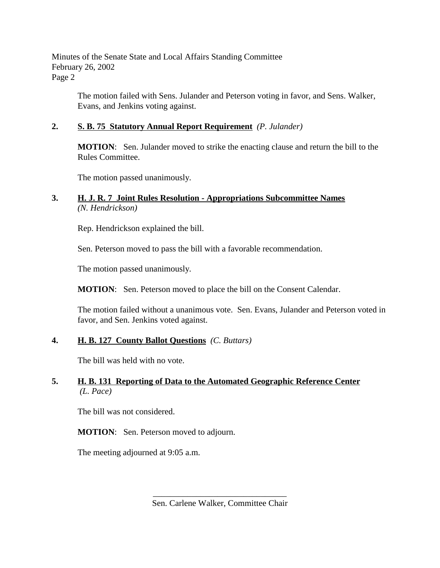Minutes of the Senate State and Local Affairs Standing Committee February 26, 2002 Page 2

> The motion failed with Sens. Julander and Peterson voting in favor, and Sens. Walker, Evans, and Jenkins voting against.

# **2. S. B. 75 Statutory Annual Report Requirement** *(P. Julander)*

**MOTION**: Sen. Julander moved to strike the enacting clause and return the bill to the Rules Committee.

The motion passed unanimously.

# **3. H. J. R. 7 Joint Rules Resolution - Appropriations Subcommittee Names** *(N. Hendrickson)*

Rep. Hendrickson explained the bill.

Sen. Peterson moved to pass the bill with a favorable recommendation.

The motion passed unanimously.

**MOTION**: Sen. Peterson moved to place the bill on the Consent Calendar.

The motion failed without a unanimous vote. Sen. Evans, Julander and Peterson voted in favor, and Sen. Jenkins voted against.

## **4. H. B. 127 County Ballot Questions** *(C. Buttars)*

The bill was held with no vote.

## **5. H. B. 131 Reporting of Data to the Automated Geographic Reference Center** *(L. Pace)*

The bill was not considered.

**MOTION**: Sen. Peterson moved to adjourn.

The meeting adjourned at 9:05 a.m.

\_\_\_\_\_\_\_\_\_\_\_\_\_\_\_\_\_\_\_\_\_\_\_\_\_\_\_\_\_\_\_ Sen. Carlene Walker, Committee Chair